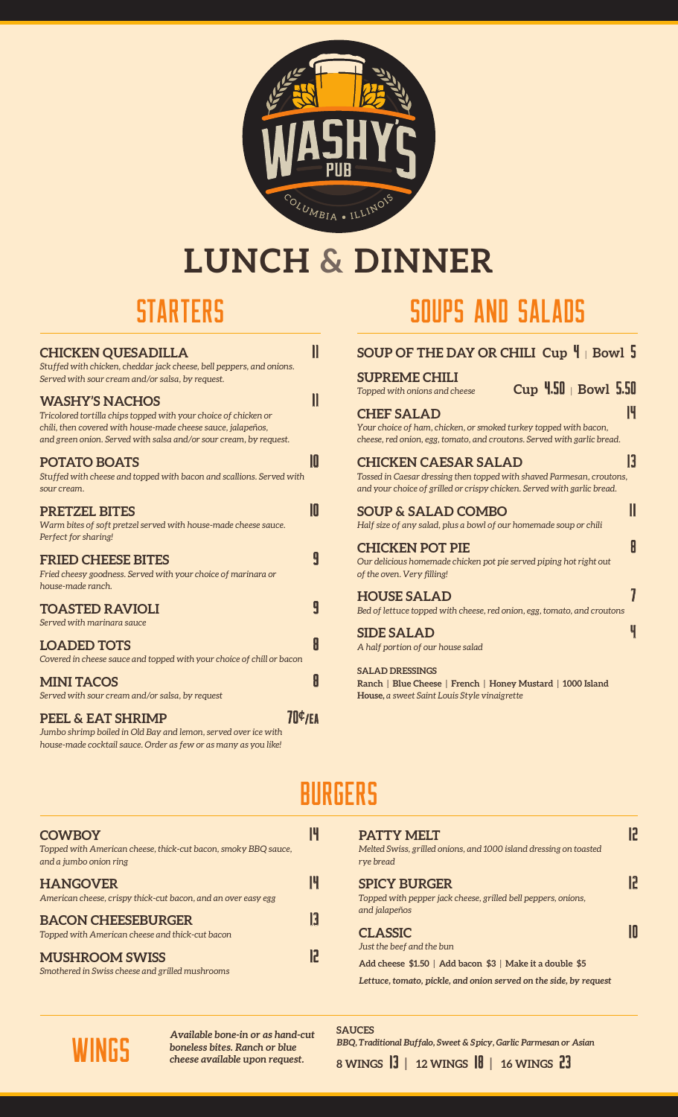

# **LUNCH & DINNER**

| <b>CHICKEN QUESADILLA</b><br>Stuffed with chicken, cheddar jack cheese, bell peppers, and onions.<br>Served with sour cream and/or salsa, by request.                                                                         |    |
|-------------------------------------------------------------------------------------------------------------------------------------------------------------------------------------------------------------------------------|----|
| <b>WASHY'S NACHOS</b><br>Tricolored tortilla chips topped with your choice of chicken or<br>chili, then covered with house-made cheese sauce, jalapeños,<br>and green onion. Served with salsa and/or sour cream, by request. |    |
| <b>POTATO BOATS</b><br>Stuffed with cheese and topped with bacon and scallions. Served with<br>sour cream.                                                                                                                    | 10 |
| <b>PRETZEL BITES</b><br>Warm bites of soft pretzel served with house-made cheese sauce.<br>Perfect for sharing!                                                                                                               | 10 |
| <b>FRIED CHEESE BITES</b><br>Fried cheesy goodness. Served with your choice of marinara or<br>house-made ranch.                                                                                                               | 9  |
| <b>TOASTED RAVIOLI</b><br>Served with marinara sauce                                                                                                                                                                          | 9  |
| <b>LOADED TOTS</b><br>Covered in cheese sauce and topped with your choice of chill or bacon                                                                                                                                   | H  |
| <b>MINI TACOS</b><br>Served with sour cream and/or salsa, by request                                                                                                                                                          | A  |
| 70¢/EA<br><b>PEEL &amp; EAT SHRIMP</b><br>1'1'1'1'1'011D<br>$\blacksquare$                                                                                                                                                    |    |

*Jumbo shrimp boiled in Old Bay and lemon, served over ice with house-made cocktail sauce. Order as few or as many as you like!*

### STARTERS SOUPS AND SALADS

| SOUP OF THE DAY OR CHILI Cup $\P$ Bowl 5                                                                                                                                        |    |
|---------------------------------------------------------------------------------------------------------------------------------------------------------------------------------|----|
| <b>SUPREME CHILI</b><br>$Cup$ 4.50   Bowl 5.50<br>Topped with onions and cheese                                                                                                 |    |
| <b>CHEF SALAD</b><br>Your choice of ham, chicken, or smoked turkey topped with bacon,<br>cheese, red onion, egg, tomato, and croutons. Served with garlic bread.                | 14 |
| <b>CHICKEN CAESAR SALAD</b><br>Tossed in Caesar dressing then topped with shaved Parmesan, croutons,<br>and your choice of grilled or crispy chicken. Served with garlic bread. | H  |
| <b>SOUP &amp; SALAD COMBO</b><br>Half size of any salad, plus a bowl of our homemade soup or chili                                                                              | II |
| <b>CHICKEN POT PIE</b><br>Our delicious homemade chicken pot pie served piping hot right out<br>of the oven. Very filling!                                                      | H  |
| <b>HOUSE SALAD</b><br>Bed of lettuce topped with cheese, red onion, egg, tomato, and croutons                                                                                   |    |
| <b>SIDE SALAD</b><br>A half portion of our house salad                                                                                                                          | Ч  |
| <b>SALAD DRESSINGS</b>                                                                                                                                                          |    |

**Ranch | Blue Cheese | French | Honey Mustard | 1000 Island House,** *a sweet Saint Louis Style vinaigrette*

### **BURGERS**

| <b>COWBOY</b><br>Topped with American cheese, thick-cut bacon, smoky BBQ sauce,<br>and a jumbo onion ring |    |
|-----------------------------------------------------------------------------------------------------------|----|
| <b>HANGOVER</b><br>American cheese, crispy thick-cut bacon, and an over easy egg                          | 14 |
| <b>BACON CHEESEBURGER</b><br>Topped with American cheese and thick-cut bacon                              | H  |
| <b>MUSHROOM SWISS</b><br>Smothered in Swiss cheese and grilled mushrooms                                  | 17 |

| <b>PATTY MELT</b><br>Melted Swiss, grilled onions, and 1000 island dressing on toasted<br>rye bread     |  |
|---------------------------------------------------------------------------------------------------------|--|
| <b>SPICY BURGER</b><br>Topped with pepper jack cheese, grilled bell peppers, onions,<br>and jalapeños   |  |
| <b>CLASSIC</b><br>Just the beef and the bun<br>Add cheese \$1.50   Add bacon \$3   Make it a double \$5 |  |
| Lettuce, tomato, pickle, and onion served on the side, by request                                       |  |



*Available bone-in or as hand-cut boneless bites. Ranch or blue* WINGS *cheese available upon request.*

**SAUCES** *BBQ, Traditional Buffalo, Sweet & Spicy, Garlic Parmesan or Asian* **8 WINGS** 13 **| 12 WINGS** 18 **| 16 WINGS** 23